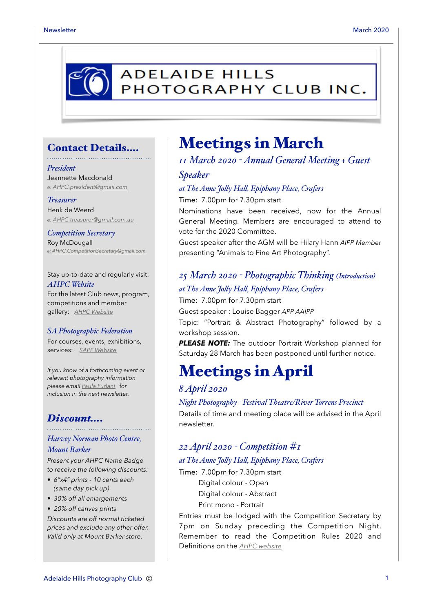

### Contact Details….

### *President*

Jeannette Macdonald *e: [AHPC.president@gmail.com](mailto:AHPC.president@gmail.com)*

#### *Treasurer*

Henk de Weerd *e: [AHPC.treasurer@gmail.com.au](mailto:AHPC.treasurer@gmail.com.au)*

*Competition Secretary* Roy McDougall *e: [AHPC.CompetitionSecretary@gmail.com](mailto:AHPC.CompetitionSecretary@gmail.com)*

Stay up-to-date and regularly visit: *AHPC Website* For the latest Club news, program, competitions and member gallery: *[AHPC Website](http://www.adelaidehillsphotographyclub.com.au)*

#### *SA Photographic Federation*

For courses, events, exhibitions, services: *[SAPF Website](https://www.sapf.org.au)*

*If you know of a forthcoming event or relevant photography information please email [Paula Furlani](mailto:paulaphotoclick@gmail.com)* f*or inclusion in the next newsletter.* 

## *Discount….*

### *Harvey Norman Photo Centre, Mount Barker*

*Present your AHPC Name Badge to receive the following discounts:* 

- *6"x4" prints 10 cents each (same day pick up)*
- *30% off all enlargements*
- *20% off canvas prints*

*Discounts are off normal ticketed prices and exclude any other offer. Valid only at Mount Barker store.*

## Meetings in March

## *11 March 2020 - Annual General Meeting + Guest*

### *Speaker*

### *at The Anne Joly Hal, Epiphany Place, Crafers*

Time: 7.00pm for 7.30pm start

Nominations have been received, now for the Annual General Meeting. Members are encouraged to attend to vote for the 2020 Committee.

Guest speaker after the AGM will be Hilary Hann *AIPP Member* presenting "Animals to Fine Art Photography".

## *25 March 2020 - Photographic Thinking (Introduction) at The Anne Joly Hal, Epiphany Place, Crafers*

Time: 7.00pm for 7.30pm start Guest speaker : Louise Bagger *APP AAIPP* Topic: "Portrait & Abstract Photography" followed by a workshop session.

**PLEASE NOTE:** The outdoor Portrait Workshop planned for Saturday 28 March has been postponed until further notice.

## Meetings in April

## *8 April 2020*

*Night Photography - Festival Theatre/River Torrens Precinct* Details of time and meeting place will be advised in the April newsletter.

## *22 April 2020 - Competition #1*

### *at The Anne Joly Hal, Epiphany Place, Crafers*

Time: 7.00pm for 7.30pm start Digital colour - Open Digital colour - Abstract Print mono - Portrait

Entries must be lodged with the Competition Secretary by 7pm on Sunday preceding the Competition Night. Remember to read the Competition Rules 2020 and Definitions on the *[AHPC website](http://www.adelaidehillsphotographyclub.com.au/competitions)*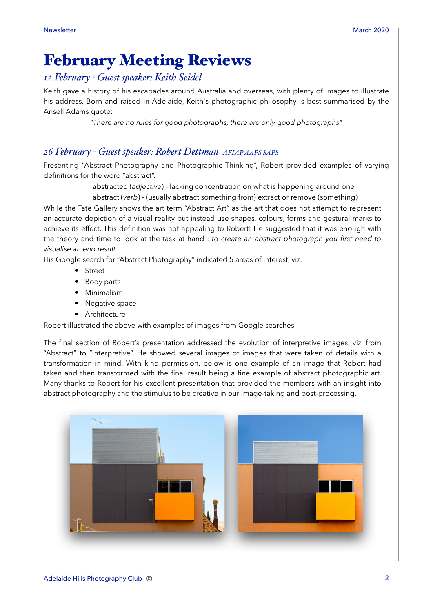# February Meeting Reviews

## *12 February - Guest speaker: Keith Seidel*

Keith gave a history of his escapades around Australia and overseas, with plenty of images to illustrate his address. Born and raised in Adelaide, Keith's photographic philosophy is best summarised by the Ansell Adams quote:

*"There are no rules for good photographs, there are only good photographs"*

## *26 February - Guest speaker: Robert Dettman AFIAP AAPS SAPS*

Presenting "Abstract Photography and Photographic Thinking", Robert provided examples of varying definitions for the word "abstract".

abstracted (*adjective*) - lacking concentration on what is happening around one

abstract (*verb*) - (usually abstract something from) extract or remove (something)

While the Tate Gallery shows the art term "Abstract Art" as the art that does not attempt to represent an accurate depiction of a visual reality but instead use shapes, colours, forms and gestural marks to achieve its effect. This definition was not appealing to Robert! He suggested that it was enough with the theory and time to look at the task at hand : *to create an abstract photograph you first need to visualise an end result*.

His Google search for "Abstract Photography" indicated 5 areas of interest, viz.

- Street
- Body parts
- Minimalism
- Negative space
- Architecture

Robert illustrated the above with examples of images from Google searches.

The final section of Robert's presentation addressed the evolution of interpretive images, viz. from "Abstract" to "Interpretive". He showed several images of images that were taken of details with a transformation in mind. With kind permission, below is one example of an image that Robert had taken and then transformed with the final result being a fine example of abstract photographic art. Many thanks to Robert for his excellent presentation that provided the members with an insight into abstract photography and the stimulus to be creative in our image-taking and post-processing.

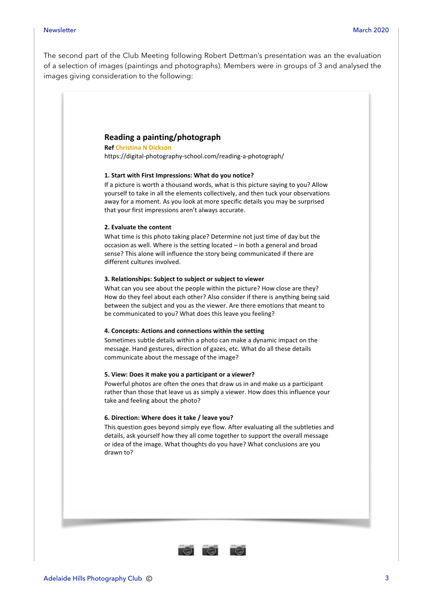#### Newsletter March 2020

The second part of the Club Meeting following Robert Dettman's presentation was an the evaluation of a selection of images (paintings and photographs). Members were in groups of 3 and analysed the images giving consideration to the following:

#### **Reading a painting/photograph**

**Ref Christina N Dickson** https://digital-photography-school.com/reading-a-photograph/

#### **1. Start with First Impressions: What do you notice?**

If a picture is worth a thousand words, what is this picture saying to you? Allow yourself to take in all the elements collectively, and then tuck your observations away for a moment. As you look at more specific details you may be surprised that your first impressions aren't always accurate.

#### **2. Evaluate the content**

What time is this photo taking place? Determine not just time of day but the occasion as well. Where is the setting located – in both a general and broad sense? This alone will influence the story being communicated if there are different cultures involved.

#### **3. Relationships: Subject to subject or subject to viewer**

What can you see about the people within the picture? How close are they? How do they feel about each other? Also consider if there is anything being said between the subject and you as the viewer. Are there emotions that meant to be communicated to you? What does this leave you feeling?

#### **4. Concepts: Actions and connections within the setting**

Sometimes subtle details within a photo can make a dynamic impact on the message. Hand gestures, direction of gazes, etc. What do all these details communicate about the message of the image?

#### **5. View: Does it make you a participant or a viewer?**

Powerful photos are often the ones that draw us in and make us a participant rather than those that leave us as simply a viewer. How does this influence your take and feeling about the photo?

#### **6. Direction: Where does it take / leave you?**

This question goes beyond simply eye flow. After evaluating all the subtleties and details, ask yourself how they all come together to support the overall message or idea of the image. What thoughts do you have? What conclusions are you drawn to?

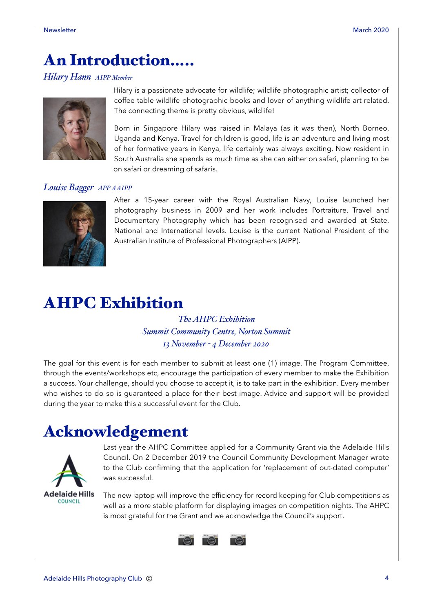# An Introduction…..

### *Hilary Hann AIPP Member*



Hilary is a passionate advocate for wildlife; wildlife photographic artist; collector of coffee table wildlife photographic books and lover of anything wildlife art related. The connecting theme is pretty obvious, wildlife!

Born in Singapore Hilary was raised in Malaya (as it was then), North Borneo, Uganda and Kenya. Travel for children is good, life is an adventure and living most of her formative years in Kenya, life certainly was always exciting. Now resident in South Australia she spends as much time as she can either on safari, planning to be on safari or dreaming of safaris.

### *Louise Bager APP AAIPP*



After a 15-year career with the Royal Australian Navy, Louise launched her photography business in 2009 and her work includes Portraiture, Travel and Documentary Photography which has been recognised and awarded at State, National and International levels. Louise is the current National President of the Australian Institute of Professional Photographers (AIPP).

# AHPC Exhibition

*The AHPC Exhibition Summit Community Centre, Norton Summit 13 November - 4 December 2020*

The goal for this event is for each member to submit at least one (1) image. The Program Committee, through the events/workshops etc, encourage the participation of every member to make the Exhibition a success. Your challenge, should you choose to accept it, is to take part in the exhibition. Every member who wishes to do so is guaranteed a place for their best image. Advice and support will be provided during the year to make this a successful event for the Club.

# Acknowledgement



Last year the AHPC Committee applied for a Community Grant via the Adelaide Hills Council. On 2 December 2019 the Council Community Development Manager wrote to the Club confirming that the application for 'replacement of out-dated computer' was successful.

The new laptop will improve the efficiency for record keeping for Club competitions as well as a more stable platform for displaying images on competition nights. The AHPC is most grateful for the Grant and we acknowledge the Council's support.

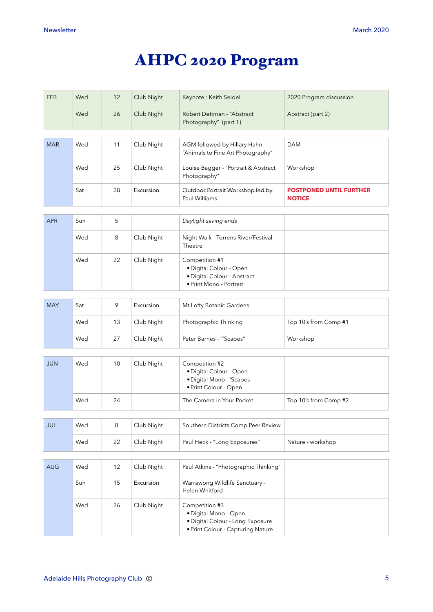# AHPC 2020 Program

| <b>FEB</b> | Wed | 12 | Club Night | Keynote: Keith Seidel                                                                                            | 2020 Program discussion                         |
|------------|-----|----|------------|------------------------------------------------------------------------------------------------------------------|-------------------------------------------------|
|            | Wed | 26 | Club Night | Robert Dettman - "Abstract<br>Photography" (part 1)                                                              | Abstract (part 2)                               |
| <b>MAR</b> | Wed | 11 | Club Night | AGM followed by Hillary Hahn -<br>"Animals to Fine Art Photography"                                              | <b>DAM</b>                                      |
|            | Wed | 25 | Club Night | Louise Bagger - "Portrait & Abstract<br>Photography"                                                             | Workshop                                        |
|            | Sat | 28 | Excursion  | Outdoor Portrait Workshop led by<br>Paul Williams                                                                | <b>POSTPONED UNTIL FURTHER</b><br><b>NOTICE</b> |
| <b>APR</b> | Sun | 5  |            | Daylight saving ends                                                                                             |                                                 |
|            | Wed | 8  | Club Night | Night Walk - Torrens River/Festival<br>Theatre                                                                   |                                                 |
|            | Wed | 22 | Club Night | Competition #1<br>· Digital Colour - Open<br>· Digital Colour - Abstract<br>· Print Mono - Portrait              |                                                 |
| <b>MAY</b> | Sat | 9  | Excursion  | Mt Lofty Botanic Gardens                                                                                         |                                                 |
|            |     |    |            |                                                                                                                  |                                                 |
|            | Wed | 13 | Club Night | Photographic Thinking                                                                                            | Top 10's from Comp #1                           |
|            | Wed | 27 | Club Night | Peter Barnes - "'Scapes"                                                                                         | Workshop                                        |
| <b>JUN</b> | Wed | 10 | Club Night | Competition #2<br>· Digital Colour - Open<br>· Digital Mono - 'Scapes<br>· Print Colour - Open                   |                                                 |
|            | Wed | 24 |            | The Camera in Your Pocket                                                                                        | Top 10's from Comp #2                           |
| JUL        | Wed | 8  | Club Night | Southern Districts Comp Peer Review                                                                              |                                                 |
|            | Wed | 22 | Club Night | Paul Heck - "Long Exposures"                                                                                     | Nature - workshop                               |
| <b>AUG</b> | Wed | 12 | Club Night | Paul Atkins - "Photographic Thinking"                                                                            |                                                 |
|            |     |    |            |                                                                                                                  |                                                 |
|            | Sun | 15 | Excursion  | Warrawong Wildlife Sanctuary -<br>Helen Whitford                                                                 |                                                 |
|            | Wed | 26 | Club Night | Competition #3<br>· Digital Mono - Open<br>· Digital Colour - Long Exposure<br>• Print Colour - Capturing Nature |                                                 |